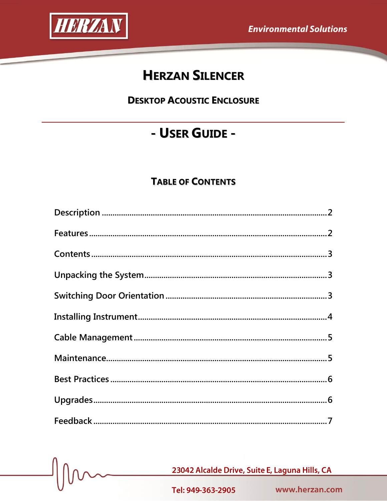

# **HERZAN SILENCER**

**DESKTOP ACOUSTIC ENCLOSURE** 

# - USER GUIDE -

# **TABLE OF CONTENTS**

23042 Alcalde Drive, Suite E, Laguna Hills, CA

Tel: 949-363-2905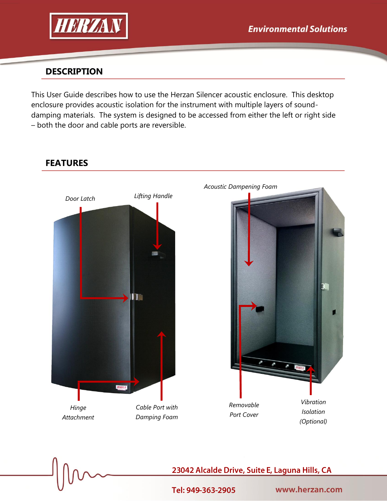

# **DESCRIPTION**

This User Guide describes how to use the Herzan Silencer acoustic enclosure. This desktop enclosure provides acoustic isolation for the instrument with multiple layers of sounddamping materials. The system is designed to be accessed from either the left or right side – both the door and cable ports are reversible.



**FEATURES**

23042 Alcalde Drive, Suite E, Laguna Hills, CA

Tel: 949-363-2905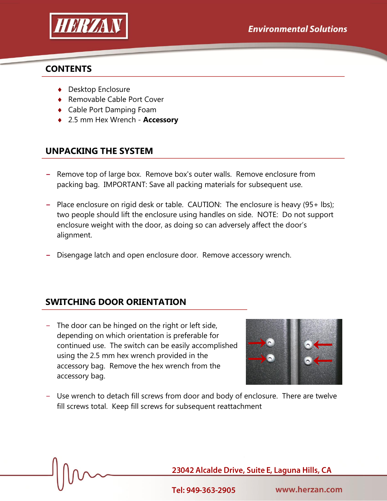

#### **CONTENTS**

- ◆ Desktop Enclosure
- ◆ Removable Cable Port Cover
- Cable Port Damping Foam
- 2.5 mm Hex Wrench **Accessory**

# **UNPACKING THE SYSTEM**

- **−** Remove top of large box. Remove box's outer walls. Remove enclosure from packing bag. IMPORTANT: Save all packing materials for subsequent use.
- **−** Place enclosure on rigid desk or table. CAUTION: The enclosure is heavy (95+ lbs); two people should lift the enclosure using handles on side. NOTE: Do not support enclosure weight with the door, as doing so can adversely affect the door's alignment.
- Disengage latch and open enclosure door. Remove accessory wrench.

# **SWITCHING DOOR ORIENTATION**

− The door can be hinged on the right or left side, depending on which orientation is preferable for continued use. The switch can be easily accomplished using the 2.5 mm hex wrench provided in the accessory bag. Remove the hex wrench from the accessory bag.



− Use wrench to detach fill screws from door and body of enclosure. There are twelve fill screws total. Keep fill screws for subsequent reattachment

23042 Alcalde Drive, Suite E, Laguna Hills, CA

Tel: 949-363-2905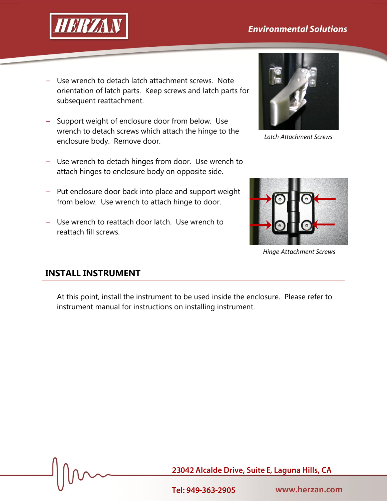# **Environmental Solutions**



- − Use wrench to detach latch attachment screws. Note orientation of latch parts. Keep screws and latch parts for subsequent reattachment.
- − Support weight of enclosure door from below. Use wrench to detach screws which attach the hinge to the enclosure body. Remove door.
- − Use wrench to detach hinges from door. Use wrench to attach hinges to enclosure body on opposite side.
- − Put enclosure door back into place and support weight from below. Use wrench to attach hinge to door.
- − Use wrench to reattach door latch. Use wrench to reattach fill screws.



*Latch Attachment Screws*



*Hinge Attachment Screws*

# **INSTALL INSTRUMENT**

At this point, install the instrument to be used inside the enclosure. Please refer to instrument manual for instructions on installing instrument.

23042 Alcalde Drive, Suite E, Laguna Hills, CA

Tel: 949-363-2905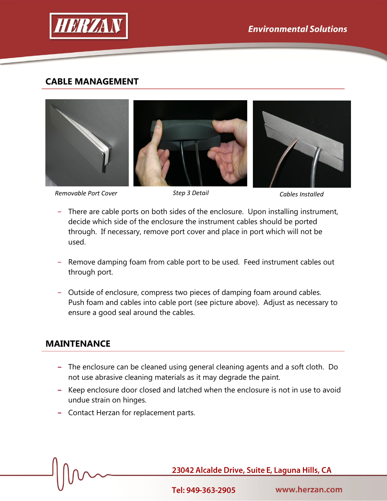

### **CABLE MANAGEMENT**



*Removable Port Cover Step 3 Detail Cables Installed*

- − There are cable ports on both sides of the enclosure. Upon installing instrument, decide which side of the enclosure the instrument cables should be ported through. If necessary, remove port cover and place in port which will not be used.
- − Remove damping foam from cable port to be used. Feed instrument cables out through port.
- − Outside of enclosure, compress two pieces of damping foam around cables. Push foam and cables into cable port (see picture above). Adjust as necessary to ensure a good seal around the cables.

# **MAINTENANCE**

- **−** The enclosure can be cleaned using general cleaning agents and a soft cloth. Do not use abrasive cleaning materials as it may degrade the paint.
- **−** Keep enclosure door closed and latched when the enclosure is not in use to avoid undue strain on hinges.
- **−** Contact Herzan for replacement parts.

23042 Alcalde Drive, Suite E, Laguna Hills, CA

Tel: 949-363-2905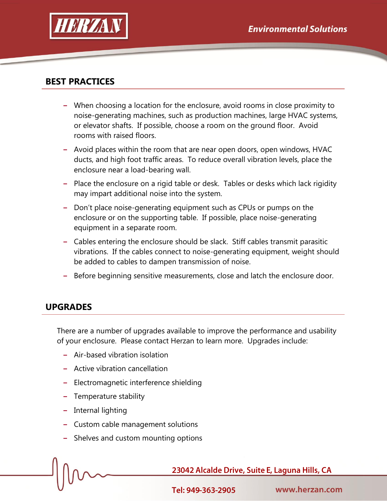

# **BEST PRACTICES**

- **−** When choosing a location for the enclosure, avoid rooms in close proximity to noise-generating machines, such as production machines, large HVAC systems, or elevator shafts. If possible, choose a room on the ground floor. Avoid rooms with raised floors.
- **−** Avoid places within the room that are near open doors, open windows, HVAC ducts, and high foot traffic areas. To reduce overall vibration levels, place the enclosure near a load-bearing wall.
- **−** Place the enclosure on a rigid table or desk. Tables or desks which lack rigidity may impart additional noise into the system.
- **−** Don't place noise-generating equipment such as CPUs or pumps on the enclosure or on the supporting table. If possible, place noise-generating equipment in a separate room.
- **−** Cables entering the enclosure should be slack. Stiff cables transmit parasitic vibrations. If the cables connect to noise-generating equipment, weight should be added to cables to dampen transmission of noise.
- **−** Before beginning sensitive measurements, close and latch the enclosure door.

#### **UPGRADES**

There are a number of upgrades available to improve the performance and usability of your enclosure. Please contact Herzan to learn more. Upgrades include:

- **−** Air-based vibration isolation
- **−** Active vibration cancellation
- **−** Electromagnetic interference shielding
- **−** Temperature stability
- **−** Internal lighting
- **−** Custom cable management solutions
- **−** Shelves and custom mounting options

23042 Alcalde Drive, Suite E, Laguna Hills, CA

Tel: 949-363-2905